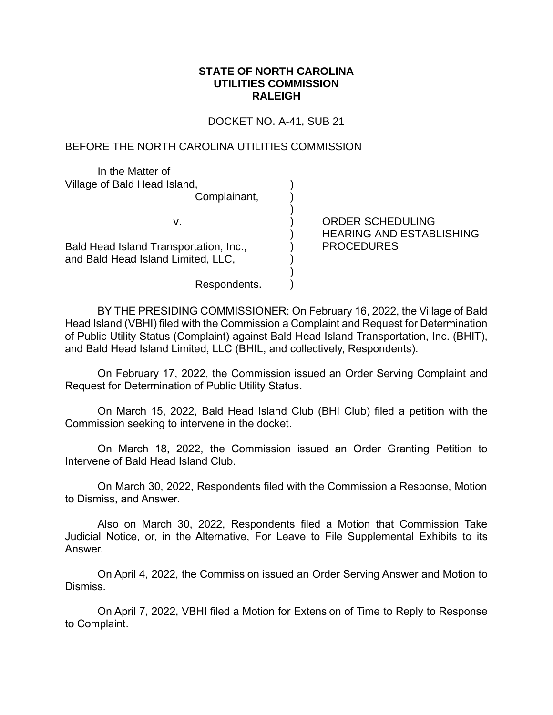## **STATE OF NORTH CAROLINA UTILITIES COMMISSION RALEIGH**

DOCKET NO. A-41, SUB 21

) ) ) ) ) ) ) ) )

## BEFORE THE NORTH CAROLINA UTILITIES COMMISSION

In the Matter of Village of Bald Head Island,

Complainant,

v.

Bald Head Island Transportation, Inc., and Bald Head Island Limited, LLC,

ORDER SCHEDULING HEARING AND ESTABLISHING PROCEDURES

Respondents.

BY THE PRESIDING COMMISSIONER: On February 16, 2022, the Village of Bald Head Island (VBHI) filed with the Commission a Complaint and Request for Determination of Public Utility Status (Complaint) against Bald Head Island Transportation, Inc. (BHIT), and Bald Head Island Limited, LLC (BHIL, and collectively, Respondents).

On February 17, 2022, the Commission issued an Order Serving Complaint and Request for Determination of Public Utility Status.

On March 15, 2022, Bald Head Island Club (BHI Club) filed a petition with the Commission seeking to intervene in the docket.

On March 18, 2022, the Commission issued an Order Granting Petition to Intervene of Bald Head Island Club.

On March 30, 2022, Respondents filed with the Commission a Response, Motion to Dismiss, and Answer.

Also on March 30, 2022, Respondents filed a Motion that Commission Take Judicial Notice, or, in the Alternative, For Leave to File Supplemental Exhibits to its Answer.

On April 4, 2022, the Commission issued an Order Serving Answer and Motion to Dismiss.

On April 7, 2022, VBHI filed a Motion for Extension of Time to Reply to Response to Complaint.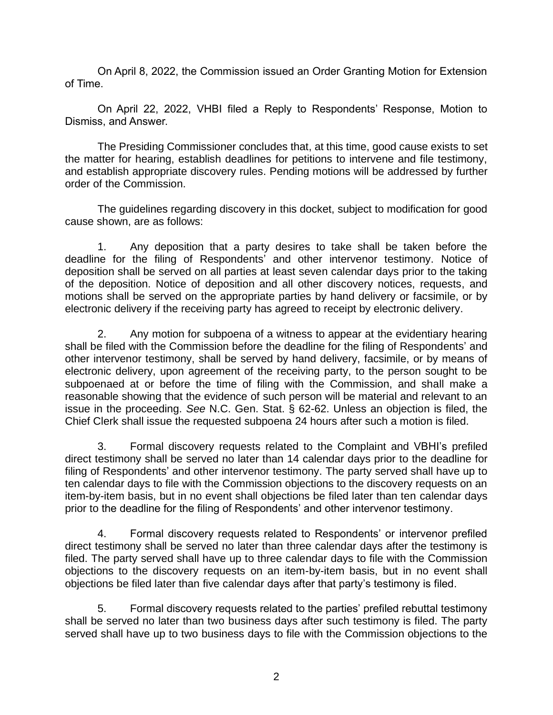On April 8, 2022, the Commission issued an Order Granting Motion for Extension of Time.

On April 22, 2022, VHBI filed a Reply to Respondents' Response, Motion to Dismiss, and Answer.

The Presiding Commissioner concludes that, at this time, good cause exists to set the matter for hearing, establish deadlines for petitions to intervene and file testimony, and establish appropriate discovery rules. Pending motions will be addressed by further order of the Commission.

The guidelines regarding discovery in this docket, subject to modification for good cause shown, are as follows:

1. Any deposition that a party desires to take shall be taken before the deadline for the filing of Respondents' and other intervenor testimony. Notice of deposition shall be served on all parties at least seven calendar days prior to the taking of the deposition. Notice of deposition and all other discovery notices, requests, and motions shall be served on the appropriate parties by hand delivery or facsimile, or by electronic delivery if the receiving party has agreed to receipt by electronic delivery.

2. Any motion for subpoena of a witness to appear at the evidentiary hearing shall be filed with the Commission before the deadline for the filing of Respondents' and other intervenor testimony, shall be served by hand delivery, facsimile, or by means of electronic delivery, upon agreement of the receiving party, to the person sought to be subpoenaed at or before the time of filing with the Commission, and shall make a reasonable showing that the evidence of such person will be material and relevant to an issue in the proceeding. *See* N.C. Gen. Stat. § 62-62. Unless an objection is filed, the Chief Clerk shall issue the requested subpoena 24 hours after such a motion is filed.

3. Formal discovery requests related to the Complaint and VBHI's prefiled direct testimony shall be served no later than 14 calendar days prior to the deadline for filing of Respondents' and other intervenor testimony. The party served shall have up to ten calendar days to file with the Commission objections to the discovery requests on an item-by-item basis, but in no event shall objections be filed later than ten calendar days prior to the deadline for the filing of Respondents' and other intervenor testimony.

4. Formal discovery requests related to Respondents' or intervenor prefiled direct testimony shall be served no later than three calendar days after the testimony is filed. The party served shall have up to three calendar days to file with the Commission objections to the discovery requests on an item-by-item basis, but in no event shall objections be filed later than five calendar days after that party's testimony is filed.

5. Formal discovery requests related to the parties' prefiled rebuttal testimony shall be served no later than two business days after such testimony is filed. The party served shall have up to two business days to file with the Commission objections to the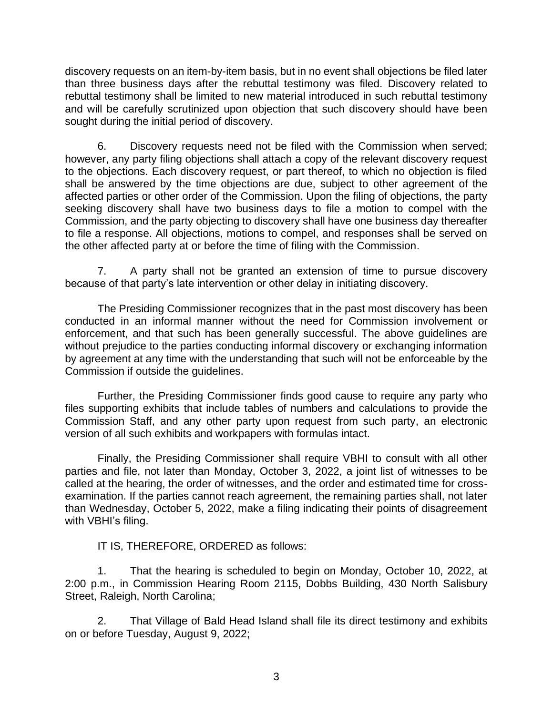discovery requests on an item-by-item basis, but in no event shall objections be filed later than three business days after the rebuttal testimony was filed. Discovery related to rebuttal testimony shall be limited to new material introduced in such rebuttal testimony and will be carefully scrutinized upon objection that such discovery should have been sought during the initial period of discovery.

6. Discovery requests need not be filed with the Commission when served; however, any party filing objections shall attach a copy of the relevant discovery request to the objections. Each discovery request, or part thereof, to which no objection is filed shall be answered by the time objections are due, subject to other agreement of the affected parties or other order of the Commission. Upon the filing of objections, the party seeking discovery shall have two business days to file a motion to compel with the Commission, and the party objecting to discovery shall have one business day thereafter to file a response. All objections, motions to compel, and responses shall be served on the other affected party at or before the time of filing with the Commission.

7. A party shall not be granted an extension of time to pursue discovery because of that party's late intervention or other delay in initiating discovery.

The Presiding Commissioner recognizes that in the past most discovery has been conducted in an informal manner without the need for Commission involvement or enforcement, and that such has been generally successful. The above guidelines are without prejudice to the parties conducting informal discovery or exchanging information by agreement at any time with the understanding that such will not be enforceable by the Commission if outside the guidelines.

Further, the Presiding Commissioner finds good cause to require any party who files supporting exhibits that include tables of numbers and calculations to provide the Commission Staff, and any other party upon request from such party, an electronic version of all such exhibits and workpapers with formulas intact.

Finally, the Presiding Commissioner shall require VBHI to consult with all other parties and file, not later than Monday, October 3, 2022, a joint list of witnesses to be called at the hearing, the order of witnesses, and the order and estimated time for crossexamination. If the parties cannot reach agreement, the remaining parties shall, not later than Wednesday, October 5, 2022, make a filing indicating their points of disagreement with VBHI's filing.

IT IS, THEREFORE, ORDERED as follows:

1. That the hearing is scheduled to begin on Monday, October 10, 2022, at 2:00 p.m., in Commission Hearing Room 2115, Dobbs Building, 430 North Salisbury Street, Raleigh, North Carolina;

2. That Village of Bald Head Island shall file its direct testimony and exhibits on or before Tuesday, August 9, 2022;